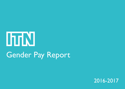# ITIN Gender Pay Report

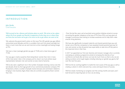#### INTRODUCTION

#### John Hardie Chief Executive

We're proud to be a diverse and inclusive place to work. We strive to be a place where all of our people can flourish, irrespective of who they are or where they are from, but we know we've got a lot more to do to get where we want to be.

We welcome the government's action on this issue. The UK's gender pay gap reflects entrenched social attitudes and this is a problem that won't be solved overnight, but there is much more that we can and must do to drive meaningful and lasting change at ITN.

We have a mean (average) gender pay gap of 19.6%, and a mean bonus gap of 77.2%.

Our pay gap is mainly caused by there being fewer women than men in many of the most senior roles in the company, and to close it we must achieve equal representation between men and women at every level of seniority.

We've also seen a significant rise in the number of people receiving a bonus over the last decade, driven by the huge growth of our commercial production company ITN Productions, where a number of people receive bonuses and commission related to bringing in new business. Again, these roles are currently occupied by fewer women than men.

 Over the last few years we've launched some positive initiatives aimed at coursecorrecting the gender imbalance at the top of ITN. Since 2016, we have given all managers unconcious bias training to increase awareness and to help them make smarter hiring decisions.

We have also significantly increased maternity and shared parental leave pay and remain one of the few companies to have equalised shared parental leave pay for men and women so that all parents have equal ability to take time off fully paid at this important time in their lives.

In 2017 we appointed our first ever diversity and inclusion manager, who is currently overseeing an ambitious programme aimed at increasing the diversity of our workforce at all levels. But we know we must do much more, so that is why we are setting ourselves some tough targets, including reducing our gender pay gap by half over the next five years.

We'll do this by working together to tackle the root causes of the pay gap, as well as creating a culture in which everyone has a voice and equal chance of success.

We'll be closely monitoring our progress over the coming months and years, and I look forward to reporting back on how we are doing.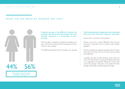#### WHAT DO WE MEAN BY GENDER PAY GAP?



Percentage of male and female employees working at ITN

**A gender pay gap is the difference between the average of all women's and the average of all men's earnings, expressed as a percentage of men's earnings.**

ITN's pay gap is calculated by taking the average pay of every man in the company, and the average pay of every woman in the company.

The difference between the two averages is our pay gap.

#### **Does having a gender pay gap mean men are getting paid more than women for doing the same jobs?**

No, but this is a common misconception.

Paying a man and a woman differently when they do the same or equivalent work is unlawful under equality legislation.

When a company has a gender pay gap it does not mean that men and women who do the same job are being paid differently.

A gender pay gap normally develops when there are more men than women occupying the highest-paid roles in an organisation. This gender imbalance in senior jobs causes the average male salary to be higher than the

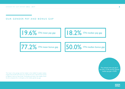OUR GENDER PAY AND BONUS GAP

19.6% ITN mean pay gap



 $77.2\%$  ITN mean bonus gap



The 'mean' is the average and the 'median' is the middle. To explain median, imagine that all staff were lined up in a female line and a male line from lowest to highest in terms of rate of pay. The female and male in the middle of each line are compared, this is what gives us the median gender pay gap.

The national mean pay gap in the UK is 17.4% and the national median pay gap is 18.4%.



lhrN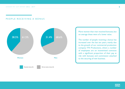#### PEOPLE RECEIVING A BONUS



More women than men received bonuses, but on average these were of a lower value.

The number of people receiving a bonus has increased over the last ten years, mainly due to the growth of our commercial production company ITN Productions, where a number of employees are on incentivised contracts with a significant proportion of their pay at risk with bonuses and commission attached to the securing of new business.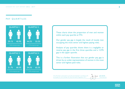#### PAY QUARTILES





These charts show the proportion of men and women within each pay quartile at ITN.

Our gender pay gap is largely the result of mostly men occupying the most senior and highest paying roles.

Analysis of pay quartiles shows there is a negligible or reverse pay gap in the first three quartiles and a 12.9% gap in the upper quartile.

This is a further illustration that our gender pay gap is driven by an under-representation of women in the most senior and highest paid roles.

The information in this report is accurate and prepared in accordance with the Equality Act 2010 (Gender Pay Gap Information) Regulations 2017.



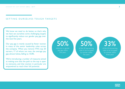#### SETTING OURSELVES TOUGH TARGETS

We know we need to do better, so that's why we have set ourselves some challenging targets to significantly reduce our gender pay gap over the next five years.

Our pay gap is mainly caused by fewer women in many of the senior leadership roles across the company. When you remove ITN's top 20 earners, 17 of whom are men, the average pay gap almost halves, falling to 10.8%.

We're introducing a number of measures aimed at making sure that the path to the top is open to everyone, and that women in particular are empowered to reach their full potential.

reduction in gender pay gap within five years

50% 50%

of the 20 top-earning roles to be occupied by women within five years

33% of the 20 top-earning

roles to be occupied by women within three years

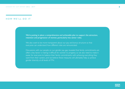#### HOW WE'LL DO IT

We're putting in place a comprehensive and achievable plan to support the attraction, retention and progression of women, particularly into senior roles.

We also want to be more transparent about our pay and bonus structure so that everyone can understand how different roles are remunerated.

Discussions with our people on our gender pay gap revealed that family commitments are often a key factor is making it difficult for women to progress, so we also need to make it easier for everyone to balance their family commitments with achieving everything they want from their careers, and we believe these measures will ultimately help us achieve gender diversity at all levels of ITN.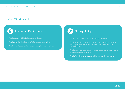#### HOW WE'LL DO IT

## Transparent Pay Structure

- We'll introduce published salary bands for all roles.
- We'll publish the eligibility criteria for bonuses and commission.
- We'll review the salaries of all women returning from maternity leave.

# Moving On Up

- We'll regularly review the duration of bureau assignments.
- We'll create a development programme for high potential women (and men), including mentorship, exec shadowing, internal exposure and external training.
- We'll create more opportunities through succession planning, attachments and open processes for all roles.
- We'll offer training for confidence building and interview techniques.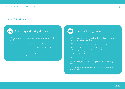#### HOW WE'LL DO IT

**103** 

### Attracting and Hiring the Best

- We'll ban appointments made without due process, unless approved by our CEO.
- We'll make sure that women are represented on all interview panels.
- We'll strive to have least one female candidate on the shortlist for every job.
- We'll review our job descriptions to make sure the language is completely gender neutral.

Flexible Working Culture

- We'll help parents who want to work full-time by adjusting rosters and working hours wherever possible.
- We'll make all roles open to flexible or part-time working.
- We'll introduce 'Summer Family Leave', where, subject to number of applicants, anybody who needs additional time off for childcare or family reasons during the summer can ask to work an 11-month year with August off, but with their salary paid over 12 months.
- We'll offer pregnant women a maternity mentor.
- We'll train managers on how to best support women on maternity leave.
- We'll hold regular roundtable workshops for all staff to discuss our working culture.